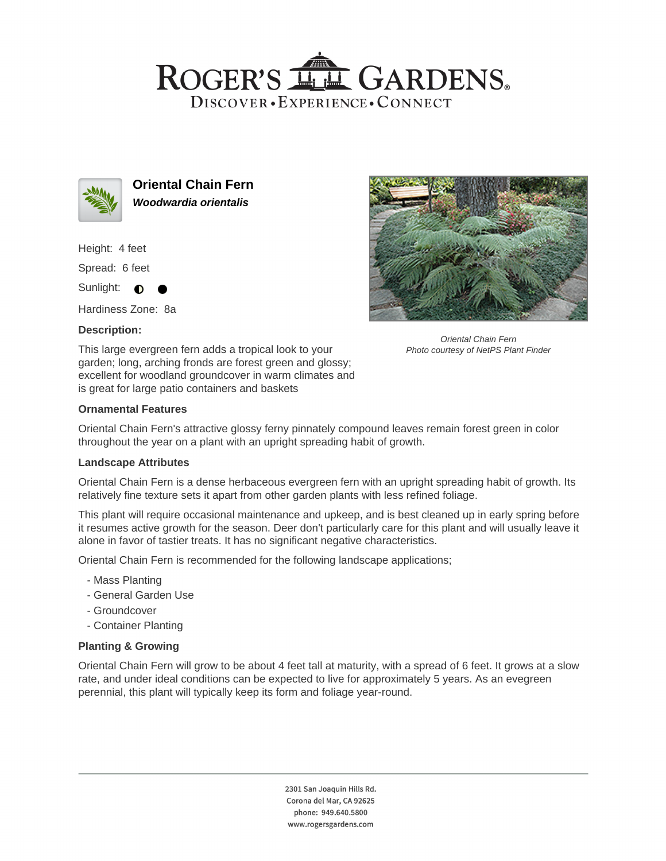## ROGER'S LL GARDENS. DISCOVER · EXPERIENCE · CONNECT



**Oriental Chain Fern Woodwardia orientalis**

Height: 4 feet

Spread: 6 feet

Sunlight:  $\bigcirc$ 

Hardiness Zone: 8a

### **Description:**





Oriental Chain Fern Photo courtesy of NetPS Plant Finder

## **Ornamental Features**

Oriental Chain Fern's attractive glossy ferny pinnately compound leaves remain forest green in color throughout the year on a plant with an upright spreading habit of growth.

#### **Landscape Attributes**

Oriental Chain Fern is a dense herbaceous evergreen fern with an upright spreading habit of growth. Its relatively fine texture sets it apart from other garden plants with less refined foliage.

This plant will require occasional maintenance and upkeep, and is best cleaned up in early spring before it resumes active growth for the season. Deer don't particularly care for this plant and will usually leave it alone in favor of tastier treats. It has no significant negative characteristics.

Oriental Chain Fern is recommended for the following landscape applications;

- Mass Planting
- General Garden Use
- Groundcover
- Container Planting

#### **Planting & Growing**

Oriental Chain Fern will grow to be about 4 feet tall at maturity, with a spread of 6 feet. It grows at a slow rate, and under ideal conditions can be expected to live for approximately 5 years. As an evegreen perennial, this plant will typically keep its form and foliage year-round.

> 2301 San Joaquin Hills Rd. Corona del Mar, CA 92625 phone: 949.640.5800 www.rogersgardens.com